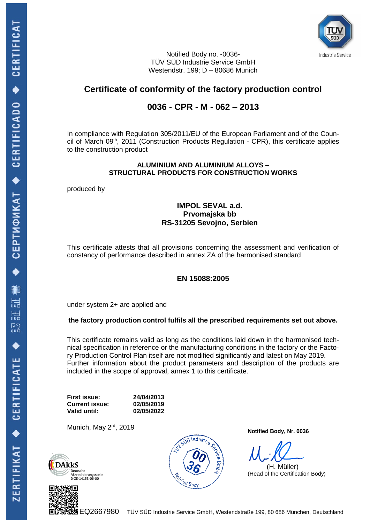

Notified Body no. -0036- TÜV SÜD Industrie Service GmbH Westendstr. 199; D – 80686 Munich

# **Certificate of conformity of the factory production control**

## **0036 - CPR - M - 062 – 2013**

In compliance with Regulation 305/2011/EU of the European Parliament and of the Council of March 09<sup>th</sup>, 2011 (Construction Products Regulation - CPR), this certificate applies to the construction product

#### **ALUMINIUM AND ALUMINIUM ALLOYS – STRUCTURAL PRODUCTS FOR CONSTRUCTION WORKS**

produced by

### **IMPOL SEVAL a.d. Prvomajska bb RS-31205 Sevojno, Serbien**

This certificate attests that all provisions concerning the assessment and verification of constancy of performance described in annex ZA of the harmonised standard

### **EN 15088:2005**

under system 2+ are applied and

### **the factory production control fulfils all the prescribed requirements set out above.**

This certificate remains valid as long as the conditions laid down in the harmonised technical specification in reference or the manufacturing conditions in the factory or the Factory Production Control Plan itself are not modified significantly and latest on May 2019. Further information about the product parameters and description of the products are included in the scope of approval, annex 1 to this certificate.

**First issue: 24/04/2013 Current issue: Valid until: 02/05/2022**

Munich, May 2<sup>rd</sup>, 2019







**Notified Body, Nr. 0036**

 (H. Müller) (Head of the Certification Body)